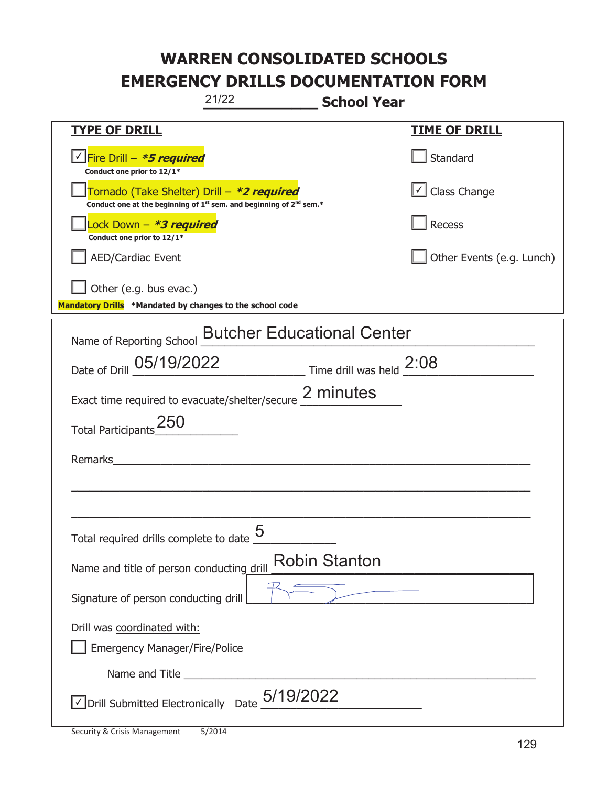| 21/22                                                                                                                       | <b>School Year</b>        |
|-----------------------------------------------------------------------------------------------------------------------------|---------------------------|
| <b>TYPE OF DRILL</b>                                                                                                        | <u>TIME OF DRILL</u>      |
| <u>√ Fire Drill – <i>*5 required</i></u><br>Conduct one prior to 12/1*                                                      | Standard                  |
| Tornado (Take Shelter) Drill – *2 required<br>Conduct one at the beginning of $1^{st}$ sem. and beginning of $2^{nd}$ sem.* | Class Change              |
| Lock Down – <b>*<i>3 required</i></b><br>Conduct one prior to 12/1*                                                         | Recess                    |
| <b>AED/Cardiac Event</b>                                                                                                    | Other Events (e.g. Lunch) |
| Other (e.g. bus evac.)                                                                                                      |                           |
| Mandatory Drills *Mandated by changes to the school code                                                                    |                           |
| <b>Butcher Educational Center</b><br>Name of Reporting School                                                               |                           |
| Date of Drill 05/19/2022 Time drill was held 2:08                                                                           |                           |
| Exact time required to evacuate/shelter/secure 2 minutes                                                                    |                           |
| <b>Total Participants</b>                                                                                                   |                           |
| Remarks                                                                                                                     |                           |
|                                                                                                                             |                           |
|                                                                                                                             |                           |
| 5<br>Total required drills complete to date                                                                                 |                           |
| Name and title of person conducting drill                                                                                   | <b>Robin Stanton</b>      |
| Signature of person conducting drill                                                                                        |                           |
| Drill was coordinated with:                                                                                                 |                           |
| <b>Emergency Manager/Fire/Police</b>                                                                                        |                           |
|                                                                                                                             |                           |
| $\sqrt{}$ Drill Submitted Electronically Date $_+$ 5/19/2022                                                                |                           |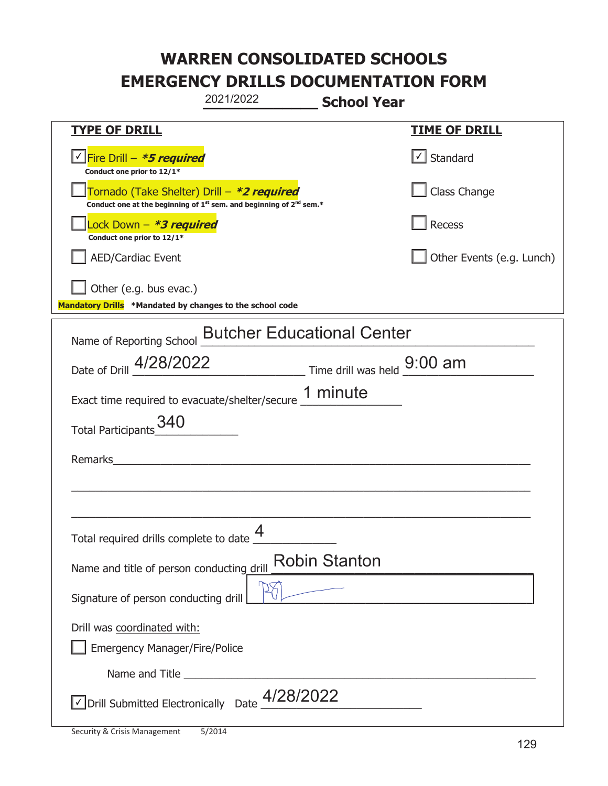|                                                                                    | 2021/2022                                                               | <b>School Year</b>   |                           |
|------------------------------------------------------------------------------------|-------------------------------------------------------------------------|----------------------|---------------------------|
| <u>TYPE OF DRILL</u>                                                               |                                                                         |                      | <b>TIME OF DRILL</b>      |
| <u>√ Fire Drill – <i>*5 required</i></u><br>Conduct one prior to 12/1*             |                                                                         |                      | $\cup$ Standard           |
| Tornado (Take Shelter) Drill – *2 required                                         | Conduct one at the beginning of $1st$ sem. and beginning of $2nd$ sem.* |                      | Class Change              |
| Lock Down - *3 required<br>Conduct one prior to 12/1*                              |                                                                         |                      | Recess                    |
| AED/Cardiac Event                                                                  |                                                                         |                      | Other Events (e.g. Lunch) |
| Other (e.g. bus evac.)<br>Mandatory Drills *Mandated by changes to the school code |                                                                         |                      |                           |
| Name of Reporting School                                                           | <b>Butcher Educational Center</b>                                       |                      |                           |
| Date of Drill 4/28/2022 Time drill was held 9:00 am                                |                                                                         |                      |                           |
| Exact time required to evacuate/shelter/secure 1 minute                            |                                                                         |                      |                           |
| Total Participants_340                                                             |                                                                         |                      |                           |
| Remarks                                                                            |                                                                         |                      |                           |
|                                                                                    |                                                                         |                      |                           |
| Total required drills complete to date $\frac{4}{1}$                               |                                                                         |                      |                           |
| Name and title of person conducting drill                                          |                                                                         | <b>Robin Stanton</b> |                           |
| Signature of person conducting drill                                               |                                                                         |                      |                           |
| Drill was coordinated with:<br><b>Emergency Manager/Fire/Police</b>                |                                                                         |                      |                           |
|                                                                                    |                                                                         |                      |                           |
| √ Drill Submitted Electronically Date                                              | 4/28/2022                                                               |                      |                           |

t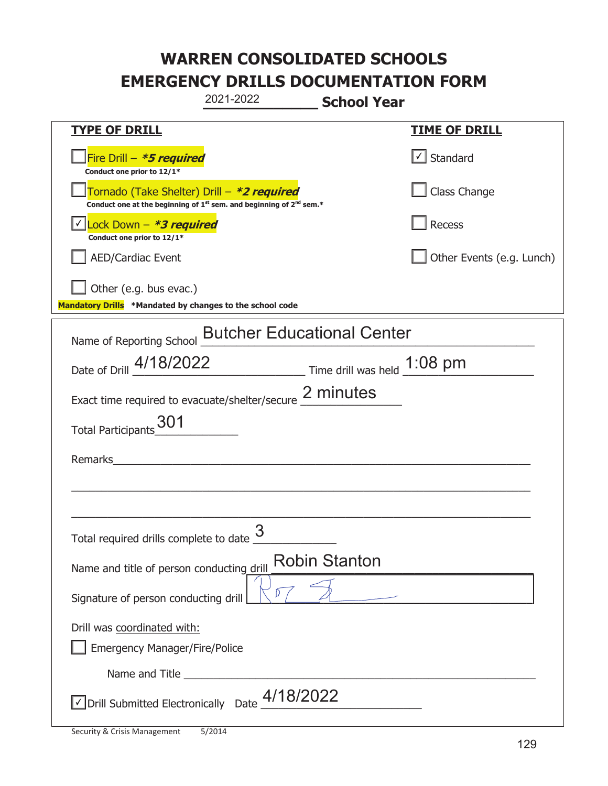|                                                                                    | 2021-2022                                                                                   | <b>School Year</b>                                                          |                                   |
|------------------------------------------------------------------------------------|---------------------------------------------------------------------------------------------|-----------------------------------------------------------------------------|-----------------------------------|
| <b>TYPE OF DRILL</b>                                                               |                                                                                             |                                                                             | <b>TIME OF DRILL</b>              |
| Fire Drill - *5 required<br>Conduct one prior to 12/1*                             |                                                                                             |                                                                             | $\lfloor \angle \rfloor$ Standard |
| Tornado (Take Shelter) Drill – *2 required                                         | Conduct one at the beginning of 1 <sup>st</sup> sem. and beginning of 2 <sup>nd</sup> sem.* |                                                                             | Class Change                      |
| Lock Down $-$ *3 required<br>Conduct one prior to 12/1*                            |                                                                                             |                                                                             | Recess                            |
| <b>AED/Cardiac Event</b>                                                           |                                                                                             |                                                                             | Other Events (e.g. Lunch)         |
| Other (e.g. bus evac.)<br>Mandatory Drills *Mandated by changes to the school code |                                                                                             |                                                                             |                                   |
| Name of Reporting School                                                           | <b>Butcher Educational Center</b>                                                           |                                                                             |                                   |
| Date of Drill 4/18/2022                                                            |                                                                                             | $\frac{1.08 \text{ pm}}{2}$ Time drill was held $\frac{1.08 \text{ pm}}{2}$ |                                   |
| Exact time required to evacuate/shelter/secure 2 minutes                           |                                                                                             |                                                                             |                                   |
| 301<br><b>Total Participants</b>                                                   |                                                                                             |                                                                             |                                   |
| Remarks                                                                            |                                                                                             |                                                                             |                                   |
|                                                                                    |                                                                                             |                                                                             |                                   |
| Total required drills complete to date $\frac{9}{2}$                               | 3                                                                                           |                                                                             |                                   |
| Name and title of person conducting drill                                          | <b>Robin Stanton</b>                                                                        |                                                                             |                                   |
| Signature of person conducting drill                                               | D.                                                                                          |                                                                             |                                   |
| Drill was coordinated with:<br><b>Emergency Manager/Fire/Police</b>                |                                                                                             |                                                                             |                                   |
| Name and Title _________                                                           |                                                                                             |                                                                             |                                   |
| √ Drill Submitted Electronically Date                                              | 4/18/2022                                                                                   |                                                                             |                                   |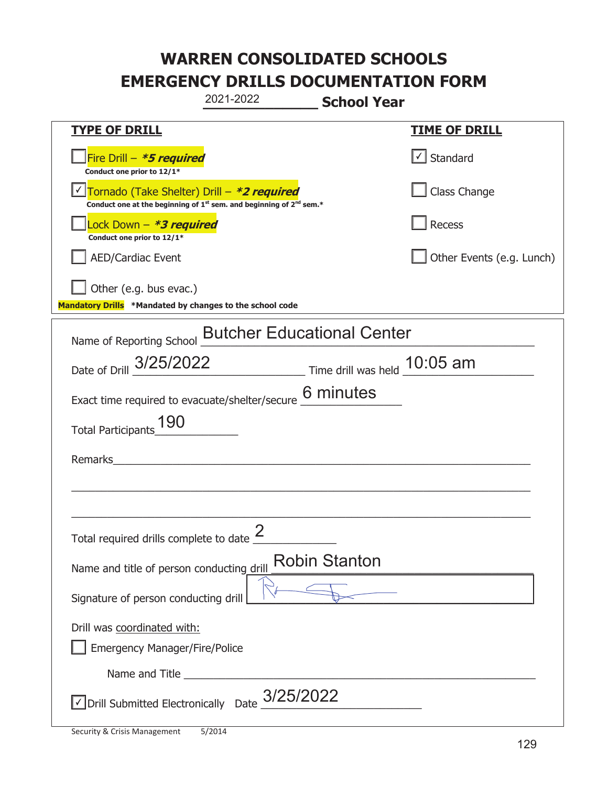|                                                                                    | 2021-2022                                                                                   | <b>School Year</b>                                   |  |
|------------------------------------------------------------------------------------|---------------------------------------------------------------------------------------------|------------------------------------------------------|--|
| <b>TYPE OF DRILL</b>                                                               |                                                                                             | <b>TIME OF DRILL</b>                                 |  |
| Fire Drill - *5 required<br>Conduct one prior to 12/1*                             |                                                                                             | $\vert\textcolor{red}{\checkmark}\vert$ Standard     |  |
| Tornado (Take Shelter) Drill - *2 required                                         | Conduct one at the beginning of 1 <sup>st</sup> sem. and beginning of 2 <sup>nd</sup> sem.* | Class Change                                         |  |
| Lock Down - *3 required<br>Conduct one prior to 12/1*                              |                                                                                             | Recess                                               |  |
| <b>AED/Cardiac Event</b>                                                           |                                                                                             | Other Events (e.g. Lunch)                            |  |
| Other (e.g. bus evac.)<br>Mandatory Drills *Mandated by changes to the school code |                                                                                             |                                                      |  |
| Name of Reporting School <b>Butcher Educational Center</b>                         |                                                                                             |                                                      |  |
|                                                                                    |                                                                                             | Date of Drill 3/25/2022 Time drill was held 10:05 am |  |
| Exact time required to evacuate/shelter/secure $6$ minutes                         |                                                                                             |                                                      |  |
| Total Participants_190                                                             |                                                                                             |                                                      |  |
| Remarks                                                                            |                                                                                             |                                                      |  |
|                                                                                    |                                                                                             |                                                      |  |
|                                                                                    |                                                                                             |                                                      |  |
| Total required drills complete to date $\frac{2}{3}$                               |                                                                                             |                                                      |  |
| Name and title of person conducting drill                                          |                                                                                             | <b>Robin Stanton</b>                                 |  |
| Signature of person conducting drill                                               |                                                                                             |                                                      |  |
| Drill was coordinated with:                                                        |                                                                                             |                                                      |  |
| <b>Emergency Manager/Fire/Police</b>                                               |                                                                                             |                                                      |  |
|                                                                                    |                                                                                             |                                                      |  |
| $\sqrt{}$ Drill Submitted Electronically Date $_{\rm L}^{3/25/2022}$               |                                                                                             |                                                      |  |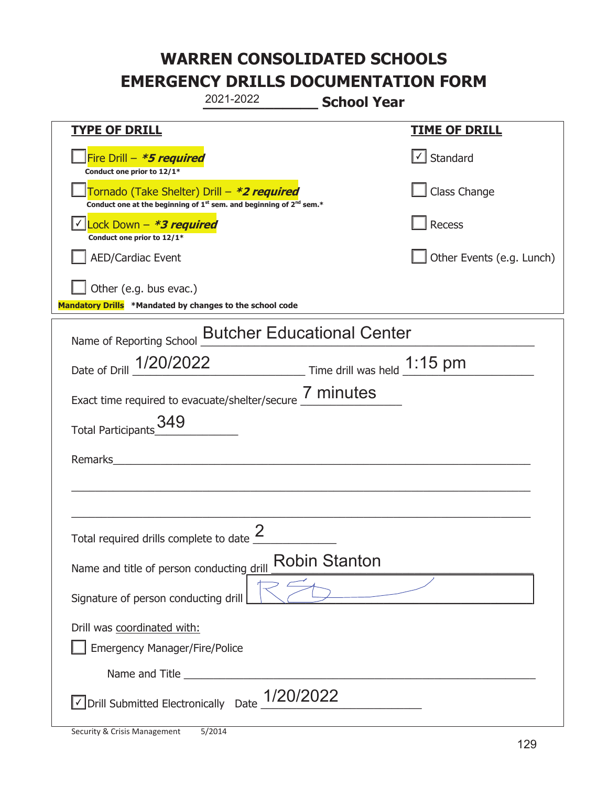|                                                                                    | 2021-2022                                                                                   | <b>School Year</b>   |                                   |
|------------------------------------------------------------------------------------|---------------------------------------------------------------------------------------------|----------------------|-----------------------------------|
| <b>TYPE OF DRILL</b>                                                               |                                                                                             |                      | <u>TIME OF DRILL</u>              |
| Fire Drill - *5 required<br>Conduct one prior to 12/1*                             |                                                                                             |                      | $\lfloor \angle \rfloor$ Standard |
| Tornado (Take Shelter) Drill – *2 required                                         | Conduct one at the beginning of 1 <sup>st</sup> sem. and beginning of 2 <sup>nd</sup> sem.* |                      | Class Change                      |
| Lock Down - <b>*3 required</b><br>Conduct one prior to 12/1*                       |                                                                                             |                      | Recess                            |
| <b>AED/Cardiac Event</b>                                                           |                                                                                             |                      | Other Events (e.g. Lunch)         |
| Other (e.g. bus evac.)<br>Mandatory Drills *Mandated by changes to the school code |                                                                                             |                      |                                   |
| Name of Reporting School <b>Butcher Educational Center</b>                         |                                                                                             |                      |                                   |
| Date of Drill 1/20/2022 Time drill was held 1:15 pm                                |                                                                                             |                      |                                   |
| Exact time required to evacuate/shelter/secure 7 minutes                           |                                                                                             |                      |                                   |
| Total Participants 349                                                             |                                                                                             |                      |                                   |
| Remarks                                                                            |                                                                                             |                      |                                   |
|                                                                                    |                                                                                             |                      |                                   |
| Total required drills complete to date $\frac{2}{3}$                               |                                                                                             |                      |                                   |
| Name and title of person conducting drill                                          |                                                                                             | <b>Robin Stanton</b> |                                   |
| Signature of person conducting drill                                               |                                                                                             |                      |                                   |
| Drill was coordinated with:<br><b>Emergency Manager/Fire/Police</b>                |                                                                                             |                      |                                   |
| Name and Title _________                                                           |                                                                                             |                      |                                   |
| √ Drill Submitted Electronically Date                                              | 1/20/2022                                                                                   |                      |                                   |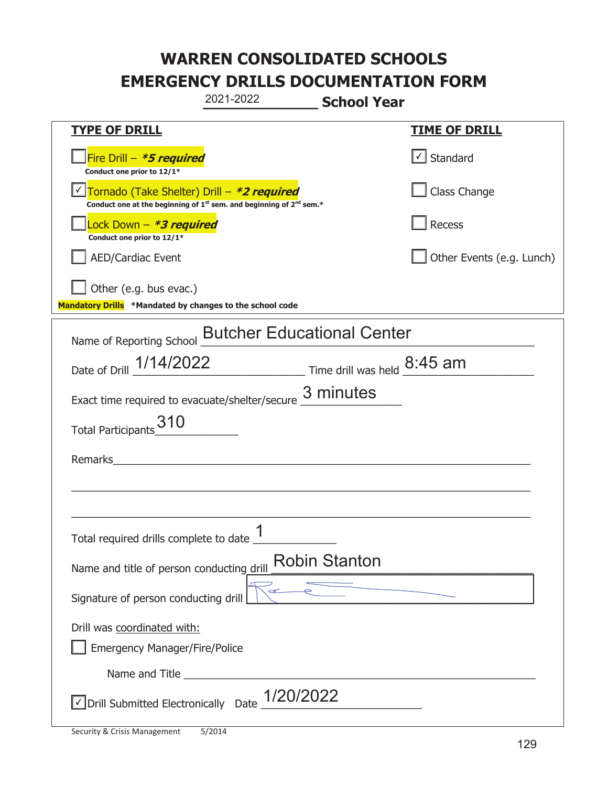|                                                                                    | 2021-2022                                                                                   | <b>School Year</b>                |
|------------------------------------------------------------------------------------|---------------------------------------------------------------------------------------------|-----------------------------------|
| <b>TYPE OF DRILL</b>                                                               |                                                                                             | <b>TIME OF DRILL</b>              |
| Fire Drill - *5 required<br>Conduct one prior to 12/1*                             |                                                                                             | $\lfloor \angle \rfloor$ Standard |
| Tornado (Take Shelter) Drill – *2 required                                         | Conduct one at the beginning of 1 <sup>st</sup> sem. and beginning of 2 <sup>nd</sup> sem.* | Class Change                      |
| ock Down – <b>*3 required</b><br>Conduct one prior to 12/1*                        |                                                                                             | Recess                            |
| <b>AED/Cardiac Event</b>                                                           |                                                                                             | Other Events (e.g. Lunch)         |
| Other (e.g. bus evac.)<br>Mandatory Drills *Mandated by changes to the school code |                                                                                             |                                   |
| Name of Reporting School                                                           | <b>Butcher Educational Center</b>                                                           |                                   |
|                                                                                    | Date of Drill 1/14/2022 Time drill was held 8:45 am                                         |                                   |
|                                                                                    | Exact time required to evacuate/shelter/secure 3 minutes                                    |                                   |
| Total Participants 310                                                             |                                                                                             |                                   |
| Remarks                                                                            |                                                                                             |                                   |
|                                                                                    |                                                                                             |                                   |
|                                                                                    |                                                                                             |                                   |
| Total required drills complete to date 1                                           |                                                                                             |                                   |
| Name and title of person conducting drill                                          | <b>Robin Stanton</b>                                                                        |                                   |
| Signature of person conducting drill                                               |                                                                                             |                                   |
| Drill was coordinated with:<br><b>Emergency Manager/Fire/Police</b>                |                                                                                             |                                   |
|                                                                                    |                                                                                             |                                   |
| √ Drill Submitted Electronically Date                                              | 1/20/2022                                                                                   |                                   |

t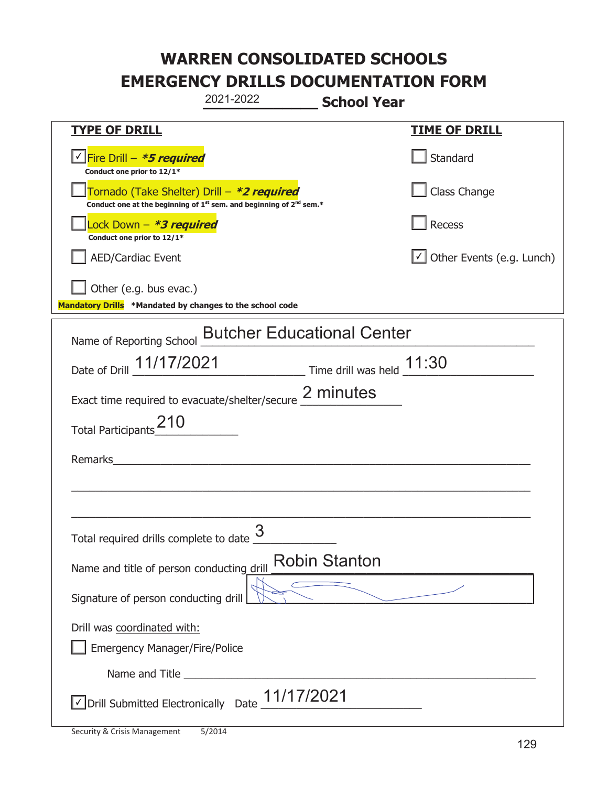| 2021-2022                                                                                                                                 | <b>School Year</b>               |
|-------------------------------------------------------------------------------------------------------------------------------------------|----------------------------------|
| <b>TYPE OF DRILL</b>                                                                                                                      | <u>TIME OF DRILL</u>             |
| <u>√ Fire Drill – <i>*5 required</i></u><br>Conduct one prior to 12/1*                                                                    | Standard                         |
| Tornado (Take Shelter) Drill – *2 required<br>Conduct one at the beginning of 1 <sup>st</sup> sem. and beginning of 2 <sup>nd</sup> sem.* | Class Change                     |
| Lock Down - <b>*3 required</b><br>Conduct one prior to 12/1*                                                                              | Recess                           |
| AED/Cardiac Event                                                                                                                         | $\cup$ Other Events (e.g. Lunch) |
| $\vert$ Other (e.g. bus evac.)<br>Mandatory Drills *Mandated by changes to the school code                                                |                                  |
| Name of Reporting School <b>Butcher Educational Center</b>                                                                                |                                  |
| Date of Drill 11/17/2021 Time drill was held 11:30                                                                                        |                                  |
| Exact time required to evacuate/shelter/secure 2 minutes                                                                                  |                                  |
| Total Participants <sup>210</sup>                                                                                                         |                                  |
| Remarks                                                                                                                                   |                                  |
|                                                                                                                                           |                                  |
|                                                                                                                                           |                                  |
| Total required drills complete to date $\frac{3}{5}$                                                                                      |                                  |
| Name and title of person conducting drill                                                                                                 | <b>Robin Stanton</b>             |
| Signature of person conducting drill                                                                                                      |                                  |
| Drill was coordinated with:                                                                                                               |                                  |
| Emergency Manager/Fire/Police                                                                                                             |                                  |
|                                                                                                                                           |                                  |
| √ Drill Submitted Electronically Date 11/17/2021                                                                                          |                                  |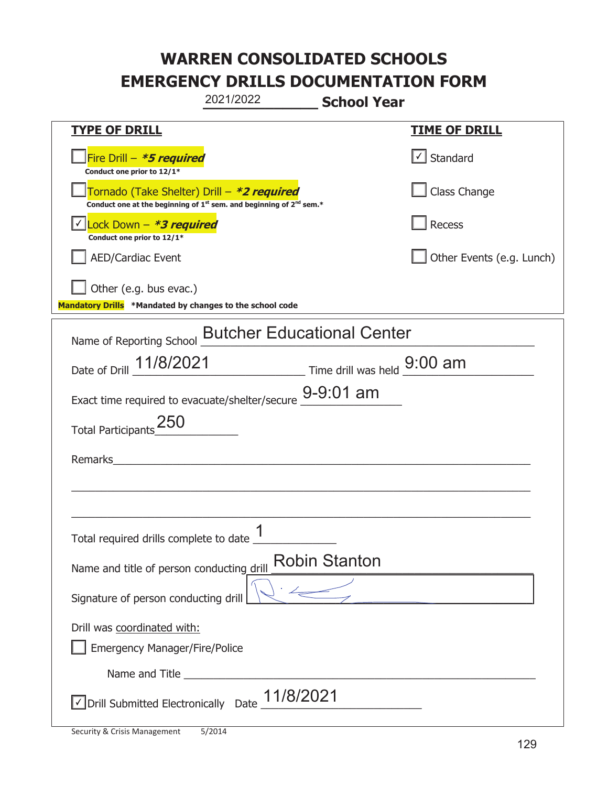|                                                                                    | 2021/2022                                                                                   | <b>School Year</b>   |                           |
|------------------------------------------------------------------------------------|---------------------------------------------------------------------------------------------|----------------------|---------------------------|
| <b>TYPE OF DRILL</b>                                                               |                                                                                             |                      | <b>TIME OF DRILL</b>      |
| Fire Drill - *5 required<br>Conduct one prior to 12/1*                             |                                                                                             |                      | $\cup$ Standard           |
| Tornado (Take Shelter) Drill – *2 required                                         | Conduct one at the beginning of 1 <sup>st</sup> sem. and beginning of 2 <sup>nd</sup> sem.* |                      | Class Change              |
| Lock Down - *3 required<br>Conduct one prior to 12/1*                              |                                                                                             |                      | <b>Recess</b>             |
| <b>AED/Cardiac Event</b>                                                           |                                                                                             |                      | Other Events (e.g. Lunch) |
| Other (e.g. bus evac.)<br>Mandatory Drills *Mandated by changes to the school code |                                                                                             |                      |                           |
| Name of Reporting School                                                           | <b>Butcher Educational Center</b>                                                           |                      |                           |
| Date of Drill $11/8/2021$ Time drill was held $9:00$ am                            |                                                                                             |                      |                           |
| Exact time required to evacuate/shelter/secure 9-9:01 am                           |                                                                                             |                      |                           |
| <b>Total Participants</b>                                                          |                                                                                             |                      |                           |
| Remarks                                                                            |                                                                                             |                      |                           |
|                                                                                    |                                                                                             |                      |                           |
| Total required drills complete to date _ "                                         | 1                                                                                           |                      |                           |
| Name and title of person conducting drill                                          |                                                                                             | <b>Robin Stanton</b> |                           |
| Signature of person conducting drill                                               |                                                                                             |                      |                           |
| Drill was coordinated with:<br><b>Emergency Manager/Fire/Police</b>                |                                                                                             |                      |                           |
|                                                                                    |                                                                                             |                      |                           |
| √ Drill Submitted Electronically Date                                              | 11/8/2021                                                                                   |                      |                           |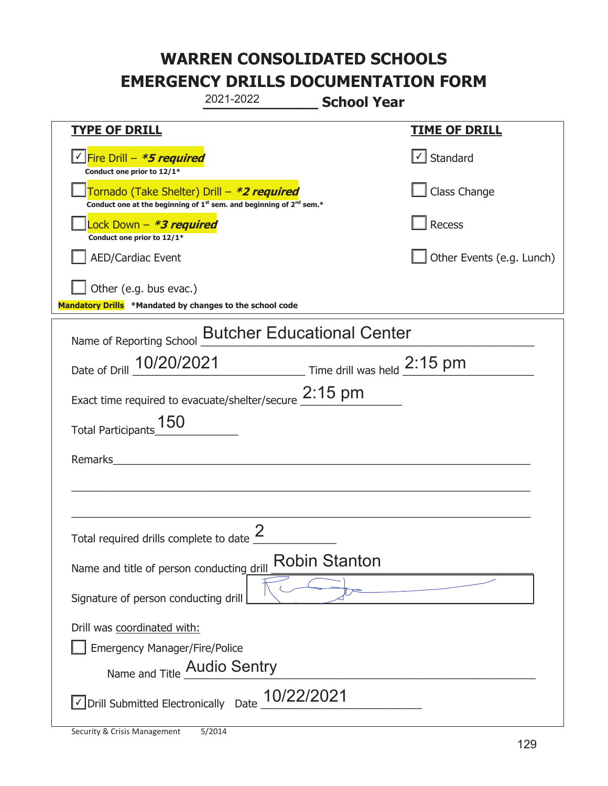|                                                                                    | 2021-2022                                                                                   | <b>School Year</b>        |
|------------------------------------------------------------------------------------|---------------------------------------------------------------------------------------------|---------------------------|
| <b>TYPE OF DRILL</b>                                                               |                                                                                             | <u>TIME OF DRILL</u>      |
| <u>√ Fire Drill – <i>*5 required</i></u><br>Conduct one prior to 12/1*             |                                                                                             | $\lfloor$ Standard        |
| Tornado (Take Shelter) Drill – *2 required                                         | Conduct one at the beginning of 1 <sup>st</sup> sem. and beginning of 2 <sup>nd</sup> sem.* | Class Change              |
| ock Down - <b>*3 required</b><br>Conduct one prior to 12/1*                        |                                                                                             | Recess                    |
| <b>AED/Cardiac Event</b>                                                           |                                                                                             | Other Events (e.g. Lunch) |
| Other (e.g. bus evac.)<br>Mandatory Drills *Mandated by changes to the school code |                                                                                             |                           |
| Name of Reporting School                                                           | <b>Butcher Educational Center</b>                                                           |                           |
|                                                                                    | Date of Drill 10/20/2021 Time drill was held 2:15 pm                                        |                           |
|                                                                                    | Exact time required to evacuate/shelter/secure 2:15 pm                                      |                           |
| Total Participants_150                                                             |                                                                                             |                           |
| Remarks                                                                            |                                                                                             |                           |
|                                                                                    |                                                                                             |                           |
|                                                                                    |                                                                                             |                           |
| Total required drills complete to date $\frac{2}{3}$                               |                                                                                             |                           |
| Name and title of person conducting drill                                          | <b>Robin Stanton</b>                                                                        |                           |
| Signature of person conducting drill                                               |                                                                                             |                           |
| Drill was coordinated with:                                                        |                                                                                             |                           |
| <b>Emergency Manager/Fire/Police</b>                                               |                                                                                             |                           |
| Name and Title Audio Sentry                                                        |                                                                                             |                           |
| √ Drill Submitted Electronically Date                                              | 10/22/2021                                                                                  |                           |